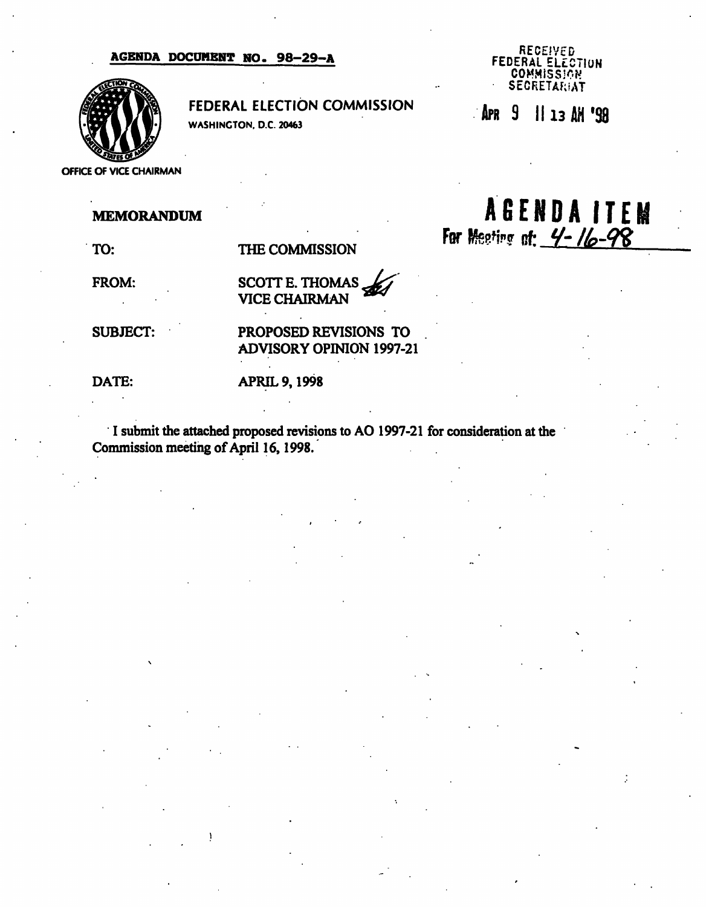### AGENDA DOCUMENT NO. 98-29-A



FEDERAL ELECTION COMMISSION

WASHINGTON. D.C. 20463

#### RECEIVED FEDERAL ELECTION COMMISSION **SECRETARIAT**

APR 9 11 13 AM '98

 $A G E N D A I T E M$ <br>For Meeting of:  $4 - 16 - 98$ 

# MEMORANDUM

TO:

THE COMMISSION

FROM:

SCOTT E. THOMAS VICE CHAIRMAN

SUBJECT:

PROPOSED REVISIONS TO ADVISORY OPINION 1997-21

DATE:

### APRIL 9,1998

I submit the attached proposed revisions to AO 1997-21 for consideration at the Commission meeting of April 16,1998.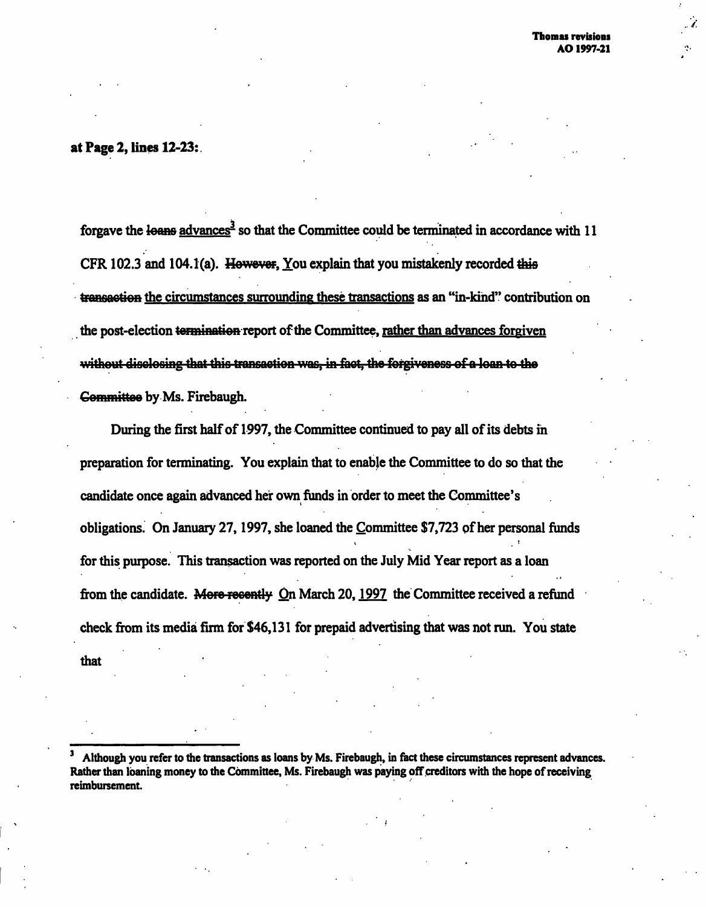$\mathcal{L}$ 

# at Page 2, lines 12-23:

forgave the loans advances<sup>3</sup> so that the Committee could be terminated in accordance with 11 CFR 102.3 and 104.1(a). However, You explain that you mistakenly recorded this transaction the circumstances surrounding these transactions as an "in-kind" contribution on the post-election termination report of the Committee, rather than advances forgiven without disclosing that this transaction was, in fact, the forgiveness of a loan to the Committee by Ms. Firebaugh.

During the first half of 1997, the Committee continued to pay all of its debts in preparation for terminating. You explain that to enable the Committee to do so that the candidate once again advanced her own funds in order to meet the Committee's obligations. On January 27,1997, she loaned the Committee \$7,723 of her personal funds for this purpose. This transaction was reported on the July Mid Year report as a loan from the candidate. More recently On March 20, 1997 the Committee received a refund check from its media firm for \$46,131 for prepaid advertising that was not run. You state that

<sup>3</sup> Although you refer to the transactions as loans by Ms. Firebaugh, in fact these circumstances represent advances. Rather than loaning money to the Committee, Ms. Firebaugh was paying off creditors with the hope of receiving reimbursement.